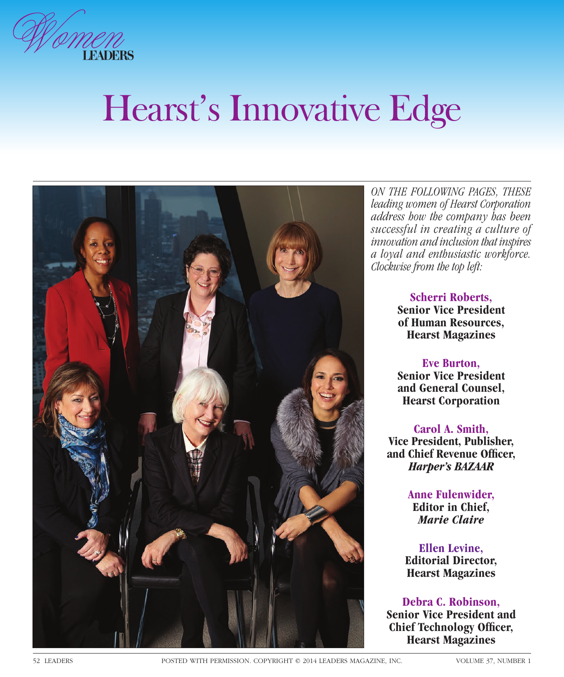

# Hearst's Innovative Edge



*ON THE FOLLOWING PAGES, THESE leading women of Hearst Corporation address how the company has been successful in creating a culture of innovation and inclusion that inspires a loyal and enthusiastic workforce. Clockwise from the top left:*

> **Scherri Roberts, Senior Vice President of Human Resources, Hearst Magazines**

> **Eve Burton, Senior Vice President and General Counsel, Hearst Corporation**

**Carol A. Smith, Vice President, Publisher,**  and Chief Revenue Officer, *Harper's BAZAAR*

> **Anne Fulenwider, Editor in Chief,**  *Marie Claire*

**Ellen Levine, Editorial Director, Hearst Magazines**

**Debra C. Robinson, Senior Vice President and Chief Technology Officer, Hearst Magazines**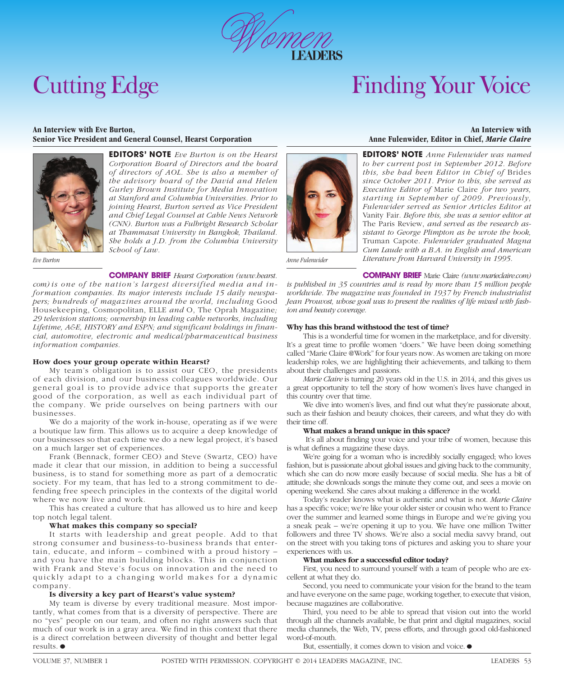

## Cutting Edge

### Finding Your Voice

#### **An Interview with Eve Burton, Senior Vice President and General Counsel, Hearst Corporation**



**EDITORS' NOTE** *Eve Burton is on the Hearst Corporation Board of Directors and the board of directors of AOL. She is also a member of the advisory board of the David and Helen Gurley Brown Institute for Media Innovation at Stanford and Columbia Universities. Prior to joining Hearst, Burton served as Vice President and Chief Legal Counsel at Cable News Network (CNN). Burton was a Fulbright Research Scholar at Thammasat University in Bangkok, Thailand. She holds a J.D. from the Columbia University School of Law.*

*Eve Burton*

**COMPANY BRIEF** *Hearst Corporation (www.hearst.*

*com) is one of the nation's largest diversified media and information companies. Its major interests include 15 daily newspapers; hundreds of magazines around the world, including* Good Housekeeping, Cosmopolitan, ELLE *and* O, The Oprah Magazine*; 29 television stations; ownership in leading cable networks, including Lifetime, A&E, HISTORY and ESPN; and significant holdings in financial, automotive, electronic and medical/pharmaceutical business information companies.*

#### **How does your group operate within Hearst?**

My team's obligation is to assist our CEO, the presidents of each division, and our business colleagues worldwide. Our general goal is to provide advice that supports the greater good of the corporation, as well as each individual part of the company. We pride ourselves on being partners with our businesses.

We do a majority of the work in-house, operating as if we were a boutique law firm. This allows us to acquire a deep knowledge of our businesses so that each time we do a new legal project, it's based on a much larger set of experiences.

Frank (Bennack, former CEO) and Steve (Swartz, CEO) have made it clear that our mission, in addition to being a successful business, is to stand for something more as part of a democratic society. For my team, that has led to a strong commitment to defending free speech principles in the contexts of the digital world where we now live and work.

This has created a culture that has allowed us to hire and keep top notch legal talent.

#### **What makes this company so special?**

It starts with leadership and great people. Add to that strong consumer and business-to-business brands that entertain, educate, and inform – combined with a proud history – and you have the main building blocks. This in conjunction with Frank and Steve's focus on innovation and the need to quickly adapt to a changing world makes for a dynamic company.

#### **Is diversity a key part of Hearst's value system?**

My team is diverse by every traditional measure. Most importantly, what comes from that is a diversity of perspective. There are no "yes" people on our team, and often no right answers such that much of our work is in a gray area. We find in this context that there is a direct correlation between diversity of thought and better legal results.•

#### **An Interview with Anne Fulenwider, Editor in Chief,** *Marie Claire*

**EDITORS' NOTE** *Anne Fulenwider was named to her current post in September 2012. Before this, she had been Editor in Chief of* Brides *since October 2011. Prior to this, she served as Executive Editor of* Marie Claire *for two years, starting in September of 2009. Previously, Fulenwider served as Senior Articles Editor at*  Vanity Fair*. Before this, she was a senior editor at*  The Paris Review, *and served as the research assistant to George Plimpton as he wrote the book,*  Truman Capote*. Fulenwider graduated Magna Cum Laude with a B.A. in English and American Literature from Harvard University in 1995.*

*Anne Fulenwider*

**COMPANY BRIEF** Marie Claire *(www.marieclaire.com) is published in 35 countries and is read by more than 15 million people worldwide. The magazine was founded in 1937 by French industrialist Jean Prouvost, whose goal was to present the realities of life mixed with fashion and beauty coverage.*

#### **Why has this brand withstood the test of time?**

This is a wonderful time for women in the marketplace, and for diversity. It's a great time to profile women "doers." We have been doing something called "Marie Claire @Work" for four years now. As women are taking on more leadership roles, we are highlighting their achievements, and talking to them about their challenges and passions.

*Marie Claire* is turning 20 years old in the U.S. in 2014, and this gives us a great opportunity to tell the story of how women's lives have changed in this country over that time.

We dive into women's lives, and find out what they're passionate about, such as their fashion and beauty choices, their careers, and what they do with their time off.

#### **What makes a brand unique in this space?**

It's all about finding your voice and your tribe of women, because this is what defines a magazine these days.

We're going for a woman who is incredibly socially engaged; who loves fashion, but is passionate about global issues and giving back to the community, which she can do now more easily because of social media. She has a bit of attitude; she downloads songs the minute they come out, and sees a movie on opening weekend. She cares about making a difference in the world.

Today's reader knows what is authentic and what is not. *Marie Claire*  has a specific voice; we're like your older sister or cousin who went to France over the summer and learned some things in Europe and we're giving you a sneak peak – we're opening it up to you. We have one million Twitter followers and three TV shows. We're also a social media savvy brand, out on the street with you taking tons of pictures and asking you to share your experiences with us.

#### **What makes for a successful editor today?**

First, you need to surround yourself with a team of people who are excellent at what they do.

Second, you need to communicate your vision for the brand to the team and have everyone on the same page, working together, to execute that vision, because magazines are collaborative.

Third, you need to be able to spread that vision out into the world through all the channels available, be that print and digital magazines, social media channels, the Web, TV, press efforts, and through good old-fashioned word-of-mouth.

But, essentially, it comes down to vision and voice.  $\bullet$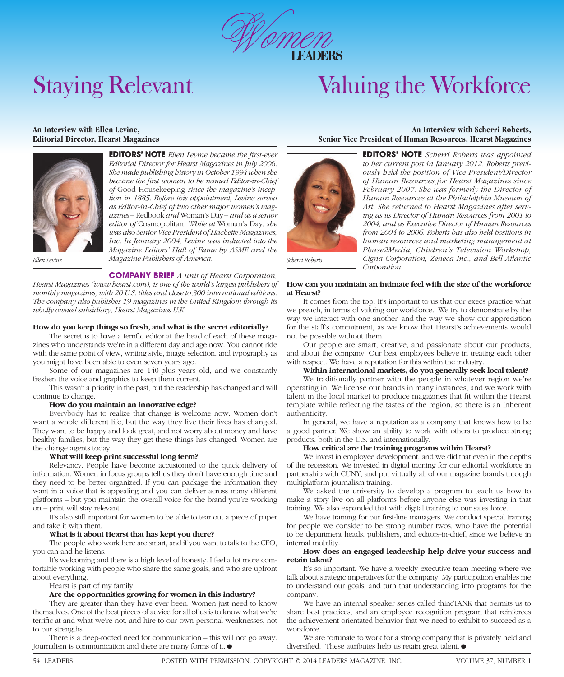

### Staying Relevant

### Valuing the Workforce

#### **An Interview with Ellen Levine, Editorial Director, Hearst Magazines**



**EDITORS' NOTE** Ellen Levine became the first-ever *Editorial Director for Hearst Magazines in July 2006. She made publishing history in October 1994 when she*  became the first woman to be named Editor-in-Chief *of* Good Housekeeping *since the magazine's inception in 1885. Before this appointment, Levine served as Editor-in-Chief of two other major women's magazines –* Redbook *and* Woman's Day *– and as a senior editor of* Cosmopolitan*. While at* Woman's Day*, she was also Senior Vice President of Hachette Magazines, Inc. In January 2004, Levine was inducted into the Magazine Editors' Hall of Fame by ASME and the Magazine Publishers of America.*

*Ellen Levine*

#### **COMPANY BRIEF** *A unit of Hearst Corporation,*

*Hearst Magazines (www.hearst.com), is one of the world's largest publishers of monthly magazines, with 20 U.S. titles and close to 300 international editions. The company also publishes 19 magazines in the United Kingdom through its wholly owned subsidiary, Hearst Magazines U.K.*

#### **How do you keep things so fresh, and what is the secret editorially?**

The secret is to have a terrific editor at the head of each of these magazines who understands we're in a different day and age now. You cannot ride with the same point of view, writing style, image selection, and typography as you might have been able to even seven years ago.

Some of our magazines are 140-plus years old, and we constantly freshen the voice and graphics to keep them current.

This wasn't a priority in the past, but the readership has changed and will continue to change.

#### **How do you maintain an innovative edge?**

Everybody has to realize that change is welcome now. Women don't want a whole different life, but the way they live their lives has changed. They want to be happy and look great, and not worry about money and have healthy families, but the way they get these things has changed. Women are the change agents today.

### **What will keep print successful long term?**

Relevancy. People have become accustomed to the quick delivery of information. Women in focus groups tell us they don't have enough time and they need to be better organized. If you can package the information they want in a voice that is appealing and you can deliver across many different platforms – but you maintain the overall voice for the brand you're working on – print will stay relevant.

It's also still important for women to be able to tear out a piece of paper and take it with them.

#### **What is it about Hearst that has kept you there?**

The people who work here are smart, and if you want to talk to the CEO, you can and he listens.

It's welcoming and there is a high level of honesty. I feel a lot more comfortable working with people who share the same goals, and who are upfront about everything.

Hearst is part of my family.

#### **Are the opportunities growing for women in this industry?**

They are greater than they have ever been. Women just need to know themselves. One of the best pieces of advice for all of us is to know what we're terrific at and what we're not, and hire to our own personal weaknesses, not to our strengths.

There is a deep-rooted need for communication – this will not go away. Journalism is communication and there are many forms of it.  $\bullet$ 

#### **An Interview with Scherri Roberts, Senior Vice President of Human Resources, Hearst Magazines**



**EDITORS' NOTE** *Scherri Roberts was appointed to her current post in January 2012. Roberts previously held the position of Vice President/Director of Human Resources for Hearst Magazines since February 2007. She was formerly the Director of Human Resources at the Philadelphia Museum of Art. She returned to Hearst Magazines after serving as its Director of Human Resources from 2001 to 2004, and as Executive Director of Human Resources from 2004 to 2006. Roberts has also held positions in human resources and marketing management at Phase2Media, Children's Television Workshop, Cigna Corporation, Zeneca Inc., and Bell Atlantic Corporation.*

*Scherri Roberts*

#### **How can you maintain an intimate feel with the size of the workforce at Hearst?**

It comes from the top. It's important to us that our execs practice what we preach, in terms of valuing our workforce. We try to demonstrate by the way we interact with one another, and the way we show our appreciation for the staff's commitment, as we know that Hearst's achievements would not be possible without them.

Our people are smart, creative, and passionate about our products, and about the company. Our best employees believe in treating each other with respect. We have a reputation for this within the industry.

#### **Within international markets, do you generally seek local talent?**

We traditionally partner with the people in whatever region we're operating in. We license our brands in many instances, and we work with talent in the local market to produce magazines that fit within the Hearst template while reflecting the tastes of the region, so there is an inherent authenticity.

In general, we have a reputation as a company that knows how to be a good partner. We show an ability to work with others to produce strong products, both in the U.S. and internationally.

#### **How critical are the training programs within Hearst?**

We invest in employee development, and we did that even in the depths of the recession. We invested in digital training for our editorial workforce in partnership with CUNY, and put virtually all of our magazine brands through multiplatform journalism training.

We asked the university to develop a program to teach us how to make a story live on all platforms before anyone else was investing in that training. We also expanded that with digital training to our sales force.

We have training for our first-line managers. We conduct special training for people we consider to be strong number twos, who have the potential to be department heads, publishers, and editors-in-chief, since we believe in internal mobility.

#### **How does an engaged leadership help drive your success and retain talent?**

It's so important. We have a weekly executive team meeting where we talk about strategic imperatives for the company. My participation enables me to understand our goals, and turn that understanding into programs for the company.

We have an internal speaker series called thincTANK that permits us to share best practices, and an employee recognition program that reinforces the achievement-orientated behavior that we need to exhibit to succeed as a workforce.

We are fortunate to work for a strong company that is privately held and diversified. These attributes help us retain great talent.  $\bullet$